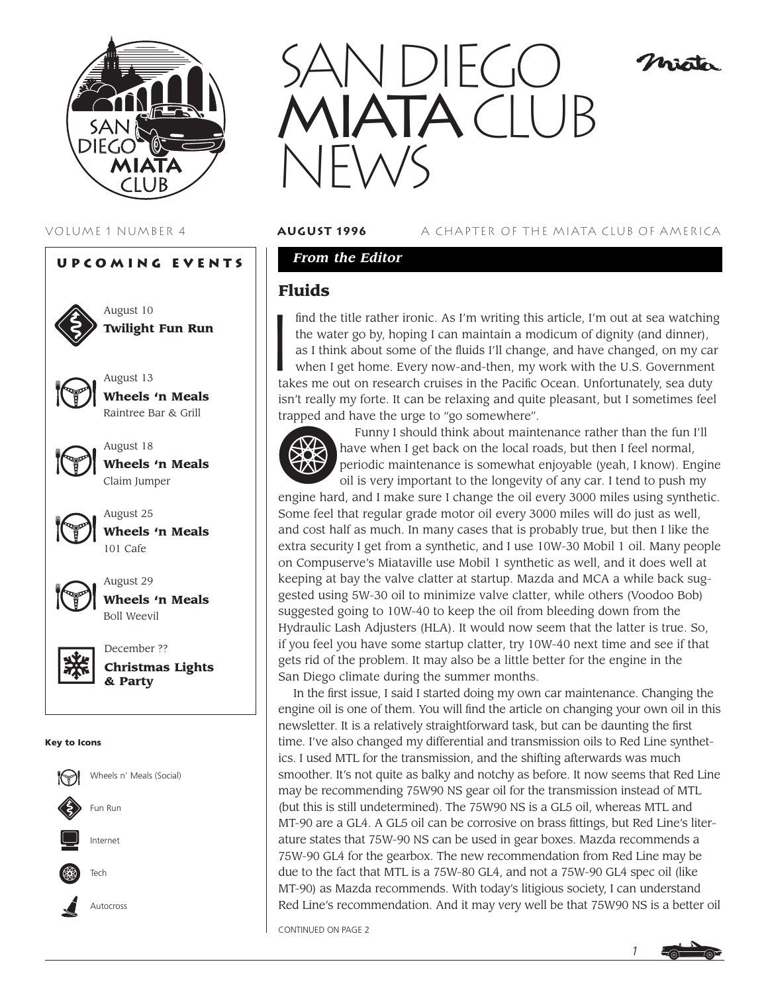





August 18 **Wheels 'n Meals** Claim Jumper

August 25 **Wheels 'n Meals** 101 Cafe



August 29 **Wheels 'n Meals** Boll Weevil



December ?? **Christmas Lights & Party**

#### **Key to Icons**





#### VOLUME 1 NUMBER 4 **august 1996** A CHAPTER OF THE MIATA CLUB OF AMERICA

Misto

### *From the Editor*

### **Fluids**

 $\begin{bmatrix} 1 \\ 1 \end{bmatrix}$ find the title rather ironic. As I'm writing this article, I'm out at sea watching the water go by, hoping I can maintain a modicum of dignity (and dinner), as I think about some of the fluids I'll change, and have changed, on my car when I get home. Every now-and-then, my work with the U.S. Government takes me out on research cruises in the Pacific Ocean. Unfortunately, sea duty isn't really my forte. It can be relaxing and quite pleasant, but I sometimes feel trapped and have the urge to "go somewhere".



Funny I should think about maintenance rather than the fun I'll have when I get back on the local roads, but then I feel normal, periodic maintenance is somewhat enjoyable (yeah, I know). Engine oil is very important to the longevity of any car. I tend to push my

engine hard, and I make sure I change the oil every 3000 miles using synthetic. Some feel that regular grade motor oil every 3000 miles will do just as well, and cost half as much. In many cases that is probably true, but then I like the extra security I get from a synthetic, and I use 10W-30 Mobil 1 oil. Many people on Compuserve's Miataville use Mobil 1 synthetic as well, and it does well at keeping at bay the valve clatter at startup. Mazda and MCA a while back suggested using 5W-30 oil to minimize valve clatter, while others (Voodoo Bob) suggested going to 10W-40 to keep the oil from bleeding down from the Hydraulic Lash Adjusters (HLA). It would now seem that the latter is true. So, if you feel you have some startup clatter, try 10W-40 next time and see if that gets rid of the problem. It may also be a little better for the engine in the San Diego climate during the summer months.

In the first issue, I said I started doing my own car maintenance. Changing the engine oil is one of them. You will find the article on changing your own oil in this newsletter. It is a relatively straightforward task, but can be daunting the first time. I've also changed my differential and transmission oils to Red Line synthetics. I used MTL for the transmission, and the shifting afterwards was much smoother. It's not quite as balky and notchy as before. It now seems that Red Line may be recommending 75W90 NS gear oil for the transmission instead of MTL (but this is still undetermined). The 75W90 NS is a GL5 oil, whereas MTL and MT-90 are a GL4. A GL5 oil can be corrosive on brass fittings, but Red Line's literature states that 75W-90 NS can be used in gear boxes. Mazda recommends a 75W-90 GL4 for the gearbox. The new recommendation from Red Line may be due to the fact that MTL is a 75W-80 GL4, and not a 75W-90 GL4 spec oil (like MT-90) as Mazda recommends. With today's litigious society, I can understand Red Line's recommendation. And it may very well be that 75W90 NS is a better oil

CONTINUED ON PAGE 2

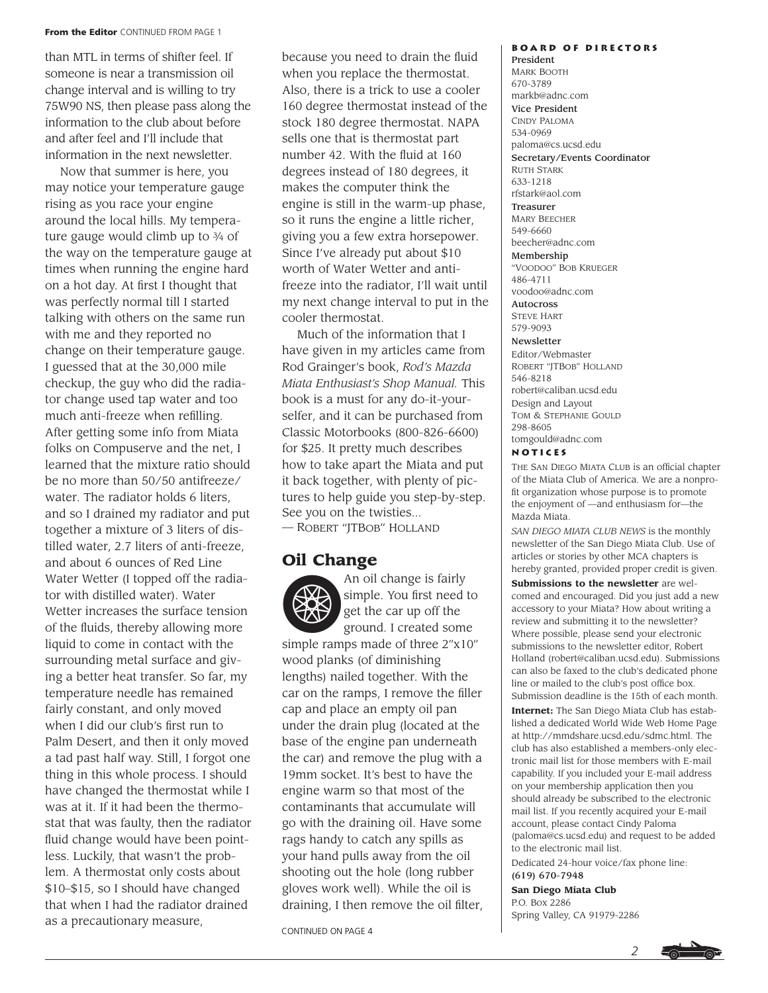#### **From the Editor** CONTINUED FROM PAGE 1

than MTL in terms of shifter feel. If someone is near a transmission oil change interval and is willing to try 75W90 NS, then please pass along the information to the club about before and after feel and I'll include that information in the next newsletter.

Now that summer is here, you may notice your temperature gauge rising as you race your engine around the local hills. My temperature gauge would climb up to 3⁄4 of the way on the temperature gauge at times when running the engine hard on a hot day. At first I thought that was perfectly normal till I started talking with others on the same run with me and they reported no change on their temperature gauge. I guessed that at the 30,000 mile checkup, the guy who did the radiator change used tap water and too much anti-freeze when refilling. After getting some info from Miata folks on Compuserve and the net, I learned that the mixture ratio should be no more than 50/50 antifreeze/ water. The radiator holds 6 liters, and so I drained my radiator and put together a mixture of 3 liters of distilled water, 2.7 liters of anti-freeze, and about 6 ounces of Red Line Water Wetter (I topped off the radiator with distilled water). Water Wetter increases the surface tension of the fluids, thereby allowing more liquid to come in contact with the surrounding metal surface and giving a better heat transfer. So far, my temperature needle has remained fairly constant, and only moved when I did our club's first run to Palm Desert, and then it only moved a tad past half way. Still, I forgot one thing in this whole process. I should have changed the thermostat while I was at it. If it had been the thermostat that was faulty, then the radiator fluid change would have been pointless. Luckily, that wasn't the problem. A thermostat only costs about \$10–\$15, so I should have changed that when I had the radiator drained as a precautionary measure,

because you need to drain the fluid when you replace the thermostat. Also, there is a trick to use a cooler 160 degree thermostat instead of the stock 180 degree thermostat. NAPA sells one that is thermostat part number 42. With the fluid at 160 degrees instead of 180 degrees, it makes the computer think the engine is still in the warm-up phase, so it runs the engine a little richer, giving you a few extra horsepower. Since I've already put about \$10 worth of Water Wetter and antifreeze into the radiator, I'll wait until my next change interval to put in the cooler thermostat.

Much of the information that I have given in my articles came from Rod Grainger's book, *Rod's Mazda Miata Enthusiast's Shop Manual.* This book is a must for any do-it-yourselfer, and it can be purchased from Classic Motorbooks (800-826-6600) for \$25. It pretty much describes how to take apart the Miata and put it back together, with plenty of pictures to help guide you step-by-step. See you on the twisties...

— ROBERT "JTBOB" HOLLAND

# **Oil Change**



An oil change is fairly simple. You first need to get the car up off the ground. I created some

simple ramps made of three 2"x10" wood planks (of diminishing lengths) nailed together. With the car on the ramps, I remove the filler cap and place an empty oil pan under the drain plug (located at the base of the engine pan underneath the car) and remove the plug with a 19mm socket. It's best to have the engine warm so that most of the contaminants that accumulate will go with the draining oil. Have some rags handy to catch any spills as your hand pulls away from the oil shooting out the hole (long rubber gloves work well). While the oil is draining, I then remove the oil filter,

CONTINUED ON PAGE 4

#### **Board of Directors** President

MARK BOOTH 670-3789 markb@adnc.com Vice President CINDY PALOMA 534-0969 paloma@cs.ucsd.edu Secretary/Events Coordinator RUTH STARK 633-1218 rfstark@aol.com Treasurer MARY BEECHER 549-6660 beecher@adnc.com Membership "VOODOO" BOB KRUEGER 486-4711 voodoo@adnc.com Autocross STEVE HART 579-9093 Newsletter Editor/Webmaster ROBERT "JTBOB" HOLLAND 546-8218 robert@caliban.ucsd.edu Design and Layout TOM & STEPHANIE GOULD 298-8605 tomgould@adnc.com

**Notices**

THE SAN DIEGO MIATA CLUB is an official chapter of the Miata Club of America. We are a nonprofit organization whose purpose is to promote the enjoyment of —and enthusiasm for—the Mazda Miata.

*SAN DIEGO MIATA CLUB NEWS* is the monthly newsletter of the San Diego Miata Club. Use of articles or stories by other MCA chapters is hereby granted, provided proper credit is given. **Submissions to the newsletter** are welcomed and encouraged. Did you just add a new accessory to your Miata? How about writing a review and submitting it to the newsletter? Where possible, please send your electronic submissions to the newsletter editor, Robert Holland (robert@caliban.ucsd.edu). Submissions can also be faxed to the club's dedicated phone line or mailed to the club's post office box. Submission deadline is the 15th of each month.

**Internet:** The San Diego Miata Club has established a dedicated World Wide Web Home Page at http://mmdshare.ucsd.edu/sdmc.html. The club has also established a members-only electronic mail list for those members with E-mail capability. If you included your E-mail address on your membership application then you should already be subscribed to the electronic mail list. If you recently acquired your E-mail account, please contact Cindy Paloma (paloma@cs.ucsd.edu) and request to be added to the electronic mail list.

Dedicated 24-hour voice/fax phone line:

(619) 670-7948 **San Diego Miata Club**

P.O. Box 2286 Spring Valley, CA 91979-2286

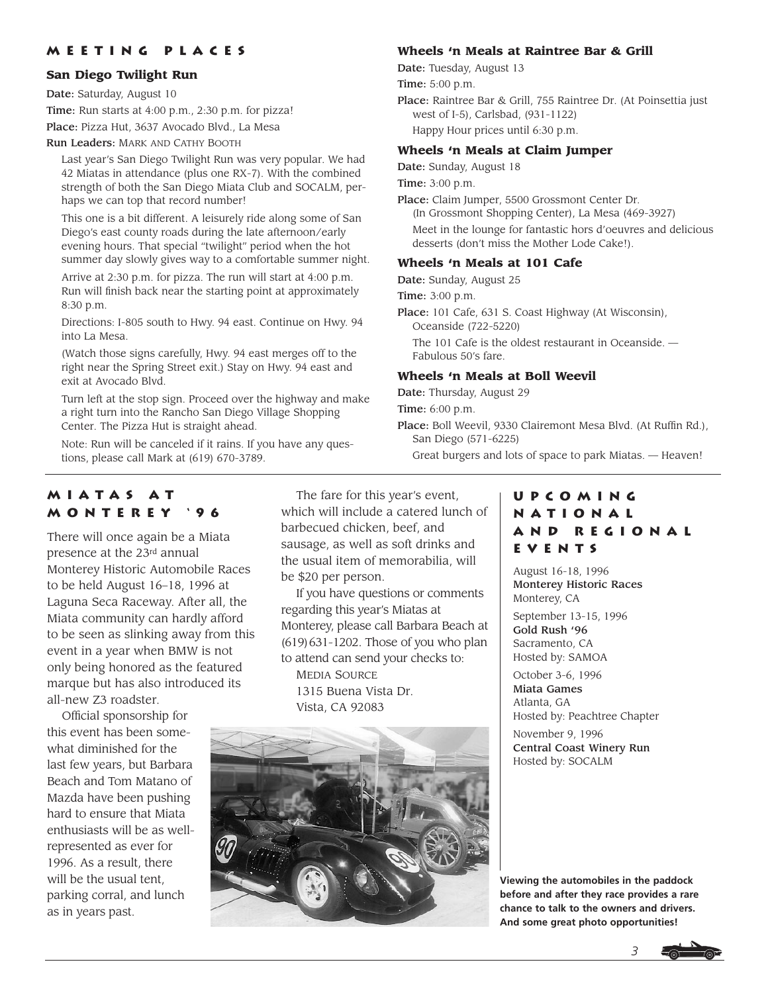### **Meeting Places**

#### **San Diego Twilight Run**

Date: Saturday, August 10 Time: Run starts at 4:00 p.m., 2:30 p.m. for pizza! Place: Pizza Hut, 3637 Avocado Blvd., La Mesa

Run Leaders: MARK AND CATHY BOOTH

Last year's San Diego Twilight Run was very popular. We had 42 Miatas in attendance (plus one RX-7). With the combined strength of both the San Diego Miata Club and SOCALM, perhaps we can top that record number!

This one is a bit different. A leisurely ride along some of San Diego's east county roads during the late afternoon/early evening hours. That special "twilight" period when the hot summer day slowly gives way to a comfortable summer night.

Arrive at 2:30 p.m. for pizza. The run will start at 4:00 p.m. Run will finish back near the starting point at approximately 8:30 p.m.

Directions: I-805 south to Hwy. 94 east. Continue on Hwy. 94 into La Mesa.

(Watch those signs carefully, Hwy. 94 east merges off to the right near the Spring Street exit.) Stay on Hwy. 94 east and exit at Avocado Blvd.

Turn left at the stop sign. Proceed over the highway and make a right turn into the Rancho San Diego Village Shopping Center. The Pizza Hut is straight ahead.

Note: Run will be canceled if it rains. If you have any questions, please call Mark at (619) 670-3789.

#### **Wheels 'n Meals at Raintree Bar & Grill**

Date: Tuesday, August 13

Time: 5:00 p.m.

Place: Raintree Bar & Grill, 755 Raintree Dr. (At Poinsettia just west of I-5), Carlsbad, (931-1122) Happy Hour prices until 6:30 p.m.

#### **Wheels 'n Meals at Claim Jumper**

Date: Sunday, August 18

Time: 3:00 p.m.

Place: Claim Jumper, 5500 Grossmont Center Dr. (In Grossmont Shopping Center), La Mesa (469-3927) Meet in the lounge for fantastic hors d'oeuvres and delicious desserts (don't miss the Mother Lode Cake!).

#### **Wheels 'n Meals at 101 Cafe**

Date: Sunday, August 25

Time: 3:00 p.m.

Place: 101 Cafe, 631 S. Coast Highway (At Wisconsin), Oceanside (722-5220) The 101 Cafe is the oldest restaurant in Oceanside. — Fabulous 50's fare.

#### **Wheels 'n Meals at Boll Weevil**

Date: Thursday, August 29

Time: 6:00 p.m.

Place: Boll Weevil, 9330 Clairemont Mesa Blvd. (At Ruffin Rd.), San Diego (571-6225) Great burgers and lots of space to park Miatas. — Heaven!

### **Miatas at Monterey '96**

There will once again be a Miata presence at the 23rd annual Monterey Historic Automobile Races to be held August 16–18, 1996 at Laguna Seca Raceway. After all, the Miata community can hardly afford to be seen as slinking away from this event in a year when BMW is not only being honored as the featured marque but has also introduced its all-new Z3 roadster.

Official sponsorship for this event has been somewhat diminished for the last few years, but Barbara Beach and Tom Matano of Mazda have been pushing hard to ensure that Miata enthusiasts will be as wellrepresented as ever for 1996. As a result, there will be the usual tent, parking corral, and lunch as in years past.

The fare for this year's event, which will include a catered lunch of barbecued chicken, beef, and sausage, as well as soft drinks and the usual item of memorabilia, will be \$20 per person.

If you have questions or comments regarding this year's Miatas at Monterey, please call Barbara Beach at (619)631-1202. Those of you who plan to attend can send your checks to: MEDIA SOURCE 1315 Buena Vista Dr. Vista, CA 92083



# **Upcoming National and Regional Events**

August 16-18, 1996 Monterey Historic Races Monterey, CA

September 13-15, 1996 Gold Rush '96 Sacramento, CA Hosted by: SAMOA

October 3-6, 1996 Miata Games Atlanta, GA Hosted by: Peachtree Chapter November 9, 1996 Central Coast Winery Run Hosted by: SOCALM

**Viewing the automobiles in the paddock before and after they race provides a rare chance to talk to the owners and drivers. And some great photo opportunities!**

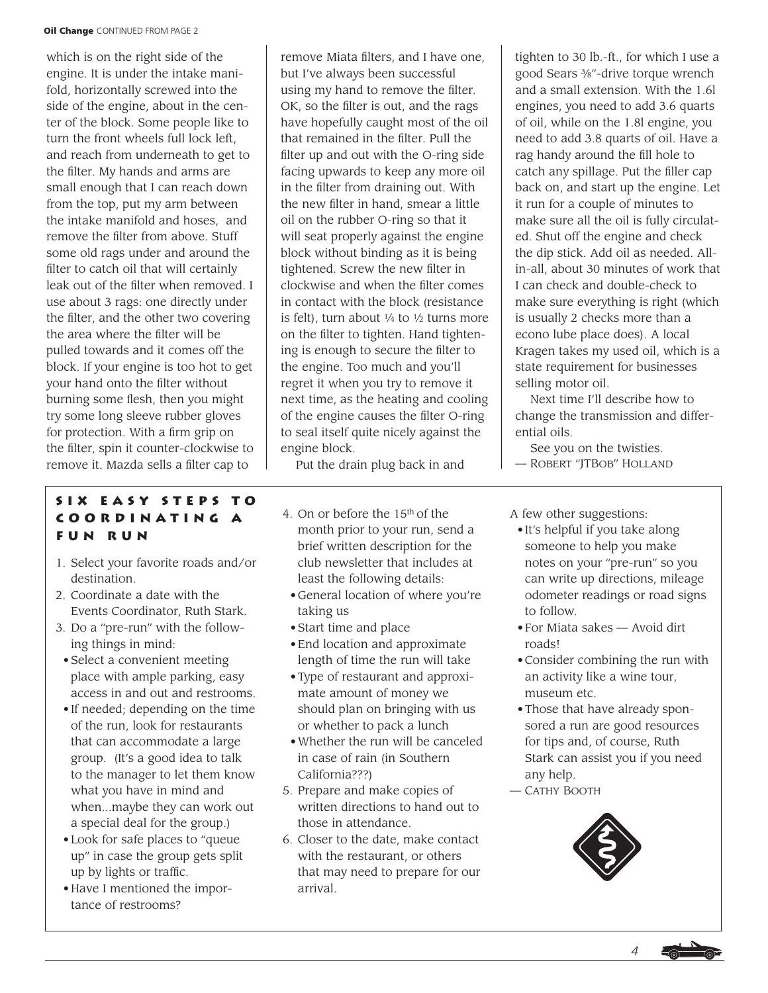#### **Oil Change** CONTINUED FROM PAGE 2

which is on the right side of the engine. It is under the intake manifold, horizontally screwed into the side of the engine, about in the center of the block. Some people like to turn the front wheels full lock left, and reach from underneath to get to the filter. My hands and arms are small enough that I can reach down from the top, put my arm between the intake manifold and hoses, and remove the filter from above. Stuff some old rags under and around the filter to catch oil that will certainly leak out of the filter when removed. I use about 3 rags: one directly under the filter, and the other two covering the area where the filter will be pulled towards and it comes off the block. If your engine is too hot to get your hand onto the filter without burning some flesh, then you might try some long sleeve rubber gloves for protection. With a firm grip on the filter, spin it counter-clockwise to remove it. Mazda sells a filter cap to

### **Six Easy Steps to Coordinating a Fun Run**

- 1. Select your favorite roads and/or destination.
- 2. Coordinate a date with the Events Coordinator, Ruth Stark.
- 3. Do a "pre-run" with the following things in mind:
- Select a convenient meeting place with ample parking, easy access in and out and restrooms.
- If needed; depending on the time of the run, look for restaurants that can accommodate a large group. (It's a good idea to talk to the manager to let them know what you have in mind and when...maybe they can work out a special deal for the group.)
- Look for safe places to "queue up" in case the group gets split up by lights or traffic.
- Have I mentioned the importance of restrooms?

remove Miata filters, and I have one, but I've always been successful using my hand to remove the filter. OK, so the filter is out, and the rags have hopefully caught most of the oil that remained in the filter. Pull the filter up and out with the O-ring side facing upwards to keep any more oil in the filter from draining out. With the new filter in hand, smear a little oil on the rubber O-ring so that it will seat properly against the engine block without binding as it is being tightened. Screw the new filter in clockwise and when the filter comes in contact with the block (resistance is felt), turn about  $\frac{1}{4}$  to  $\frac{1}{2}$  turns more on the filter to tighten. Hand tightening is enough to secure the filter to the engine. Too much and you'll regret it when you try to remove it next time, as the heating and cooling of the engine causes the filter O-ring to seal itself quite nicely against the engine block.

Put the drain plug back in and

- 4. On or before the 15th of the month prior to your run, send a brief written description for the club newsletter that includes at least the following details:
- General location of where you're taking us
- Start time and place
- End location and approximate length of time the run will take
- Type of restaurant and approximate amount of money we should plan on bringing with us or whether to pack a lunch
- Whether the run will be canceled in case of rain (in Southern California???)
- 5. Prepare and make copies of written directions to hand out to those in attendance.
- 6. Closer to the date, make contact with the restaurant, or others that may need to prepare for our arrival.

tighten to 30 lb.-ft., for which I use a good Sears 3⁄8"-drive torque wrench and a small extension. With the 1.6l engines, you need to add 3.6 quarts of oil, while on the 1.8l engine, you need to add 3.8 quarts of oil. Have a rag handy around the fill hole to catch any spillage. Put the filler cap back on, and start up the engine. Let it run for a couple of minutes to make sure all the oil is fully circulated. Shut off the engine and check the dip stick. Add oil as needed. Allin-all, about 30 minutes of work that I can check and double-check to make sure everything is right (which is usually 2 checks more than a econo lube place does). A local Kragen takes my used oil, which is a state requirement for businesses selling motor oil.

Next time I'll describe how to change the transmission and differential oils.

See you on the twisties. — ROBERT "JTBOB" HOLLAND

A few other suggestions:

- It's helpful if you take along someone to help you make notes on your "pre-run" so you can write up directions, mileage odometer readings or road signs to follow.
- For Miata sakes Avoid dirt roads!
- Consider combining the run with an activity like a wine tour, museum etc.
- Those that have already sponsored a run are good resources for tips and, of course, Ruth Stark can assist you if you need any help.
- CATHY BOOTH



*4*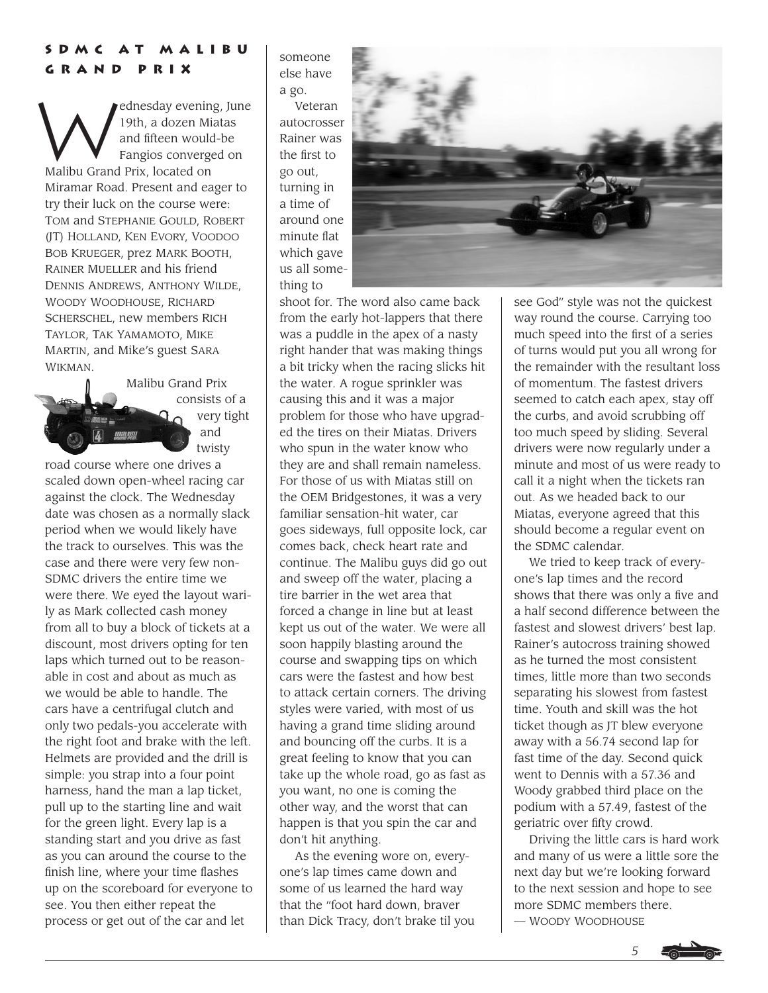# **SDMC at Malibu Grand Prix**

ednesday evening, June 19th, a dozen Miatas and fifteen would-be Fangios converged on Malibu Grand Prix, located on Miramar Road. Present and eager to try their luck on the course were: TOM and STEPHANIE GOULD, ROBERT (JT) HOLLAND, KEN EVORY, VOODOO BOB KRUEGER, prez MARK BOOTH, RAINER MUELLER and his friend DENNIS ANDREWS, ANTHONY WILDE, WOODY WOODHOUSE, RICHARD SCHERSCHEL, new members RICH TAYLOR, TAK YAMAMOTO, MIKE MARTIN, and Mike's guest SARA WIKMAN.

> Malibu Grand Prix consists of a very tight and twisty

road course where one drives a scaled down open-wheel racing car against the clock. The Wednesday date was chosen as a normally slack period when we would likely have the track to ourselves. This was the case and there were very few non-SDMC drivers the entire time we were there. We eyed the layout warily as Mark collected cash money from all to buy a block of tickets at a discount, most drivers opting for ten laps which turned out to be reasonable in cost and about as much as we would be able to handle. The cars have a centrifugal clutch and only two pedals-you accelerate with the right foot and brake with the left. Helmets are provided and the drill is simple: you strap into a four point harness, hand the man a lap ticket, pull up to the starting line and wait for the green light. Every lap is a standing start and you drive as fast as you can around the course to the finish line, where your time flashes up on the scoreboard for everyone to see. You then either repeat the process or get out of the car and let

someone else have a go. Veteran autocrosser

Rainer was the first to go out, turning in a time of around one minute flat which gave us all something to



shoot for. The word also came back from the early hot-lappers that there was a puddle in the apex of a nasty right hander that was making things a bit tricky when the racing slicks hit the water. A rogue sprinkler was causing this and it was a major problem for those who have upgraded the tires on their Miatas. Drivers who spun in the water know who they are and shall remain nameless. For those of us with Miatas still on the OEM Bridgestones, it was a very familiar sensation-hit water, car goes sideways, full opposite lock, car comes back, check heart rate and continue. The Malibu guys did go out and sweep off the water, placing a tire barrier in the wet area that forced a change in line but at least kept us out of the water. We were all soon happily blasting around the course and swapping tips on which cars were the fastest and how best to attack certain corners. The driving styles were varied, with most of us having a grand time sliding around and bouncing off the curbs. It is a great feeling to know that you can take up the whole road, go as fast as you want, no one is coming the other way, and the worst that can happen is that you spin the car and don't hit anything.

As the evening wore on, everyone's lap times came down and some of us learned the hard way that the "foot hard down, braver than Dick Tracy, don't brake til you

see God" style was not the quickest way round the course. Carrying too much speed into the first of a series of turns would put you all wrong for the remainder with the resultant loss of momentum. The fastest drivers seemed to catch each apex, stay off the curbs, and avoid scrubbing off too much speed by sliding. Several drivers were now regularly under a minute and most of us were ready to call it a night when the tickets ran out. As we headed back to our Miatas, everyone agreed that this should become a regular event on the SDMC calendar.

We tried to keep track of everyone's lap times and the record shows that there was only a five and a half second difference between the fastest and slowest drivers' best lap. Rainer's autocross training showed as he turned the most consistent times, little more than two seconds separating his slowest from fastest time. Youth and skill was the hot ticket though as JT blew everyone away with a 56.74 second lap for fast time of the day. Second quick went to Dennis with a 57.36 and Woody grabbed third place on the podium with a 57.49, fastest of the geriatric over fifty crowd.

Driving the little cars is hard work and many of us were a little sore the next day but we're looking forward to the next session and hope to see more SDMC members there. — WOODY WOODHOUSE

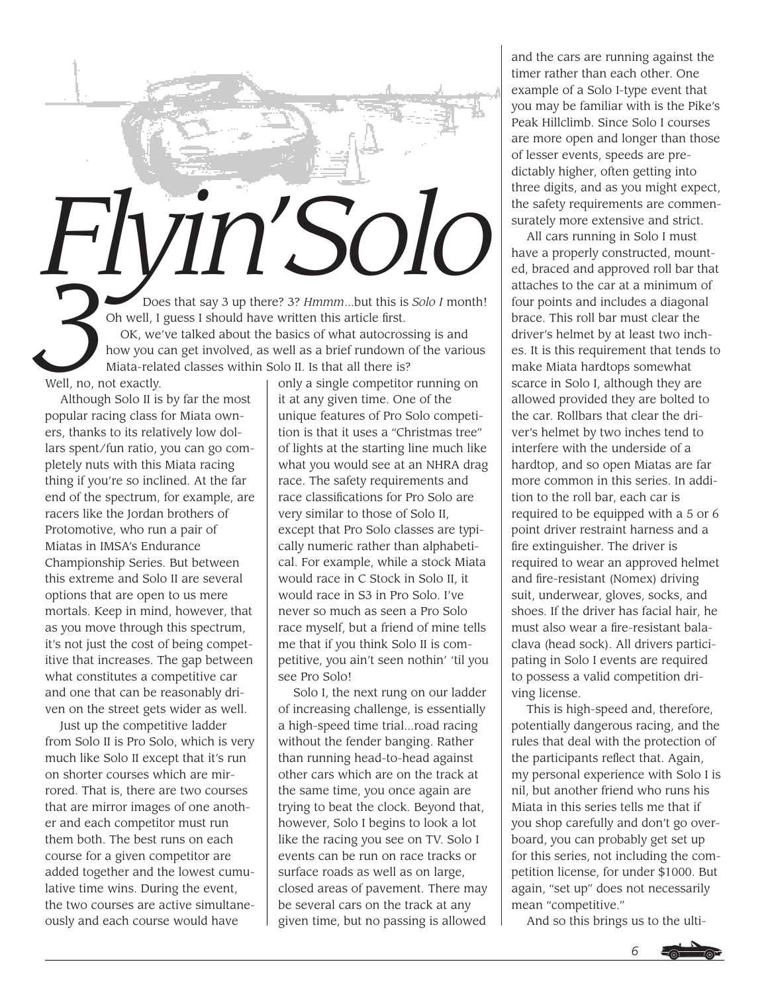

Although Solo II is by far the most popular racing class for Miata owners, thanks to its relatively low dollars spent/fun ratio, you can go completely nuts with this Miata racing thing if you're so inclined. At the far end of the spectrum, for example, are racers like the Jordan brothers of Protomotive, who run a pair of Miatas in IMSA's Endurance Championship Series. But between this extreme and Solo II are several options that are open to us mere mortals. Keep in mind, however, that as you move through this spectrum, it's not just the cost of being competitive that increases. The gap between what constitutes a competitive car and one that can be reasonably driven on the street gets wider as well.

Just up the competitive ladder from Solo II is Pro Solo, which is very much like Solo II except that it's run on shorter courses which are mirrored. That is, there are two courses that are mirror images of one another and each competitor must run them both. The best runs on each course for a given competitor are added together and the lowest cumulative time wins. During the event, the two courses are active simultaneously and each course would have

it at any given time. One of the unique features of Pro Solo competition is that it uses a "Christmas tree" of lights at the starting line much like what you would see at an NHRA drag race. The safety requirements and race classifications for Pro Solo are very similar to those of Solo II, except that Pro Solo classes are typically numeric rather than alphabetical. For example, while a stock Miata would race in C Stock in Solo II, it would race in S3 in Pro Solo. I've never so much as seen a Pro Solo race myself, but a friend of mine tells me that if you think Solo II is competitive, you ain't seen nothin' 'til you see Pro Solo!

Solo I, the next rung on our ladder of increasing challenge, is essentially a high-speed time trial...road racing without the fender banging. Rather than running head-to-head against other cars which are on the track at the same time, you once again are trying to beat the clock. Beyond that, however, Solo I begins to look a lot like the racing you see on TV. Solo I events can be run on race tracks or surface roads as well as on large, closed areas of pavement. There may be several cars on the track at any given time, but no passing is allowed

and the cars are running against the timer rather than each other. One example of a Solo I-type event that you may be familiar with is the Pike's Peak Hillclimb. Since Solo I courses are more open and longer than those of lesser events, speeds are predictably higher, often getting into three digits, and as you might expect, the safety requirements are commensurately more extensive and strict.

All cars running in Solo I must have a properly constructed, mounted, braced and approved roll bar that attaches to the car at a minimum of four points and includes a diagonal brace. This roll bar must clear the driver's helmet by at least two inches. It is this requirement that tends to make Miata hardtops somewhat scarce in Solo I, although they are allowed provided they are bolted to the car. Rollbars that clear the driver's helmet by two inches tend to interfere with the underside of a hardtop, and so open Miatas are far more common in this series. In addition to the roll bar, each car is required to be equipped with a 5 or 6 point driver restraint harness and a fire extinguisher. The driver is required to wear an approved helmet and fire-resistant (Nomex) driving suit, underwear, gloves, socks, and shoes. If the driver has facial hair, he must also wear a fire-resistant balaclava (head sock). All drivers participating in Solo I events are required to possess a valid competition driving license.

This is high-speed and, therefore, potentially dangerous racing, and the rules that deal with the protection of the participants reflect that. Again, my personal experience with Solo I is nil, but another friend who runs his Miata in this series tells me that if you shop carefully and don't go overboard, you can probably get set up for this series, not including the competition license, for under \$1000. But again, "set up" does not necessarily mean "competitive."

And so this brings us to the ulti-

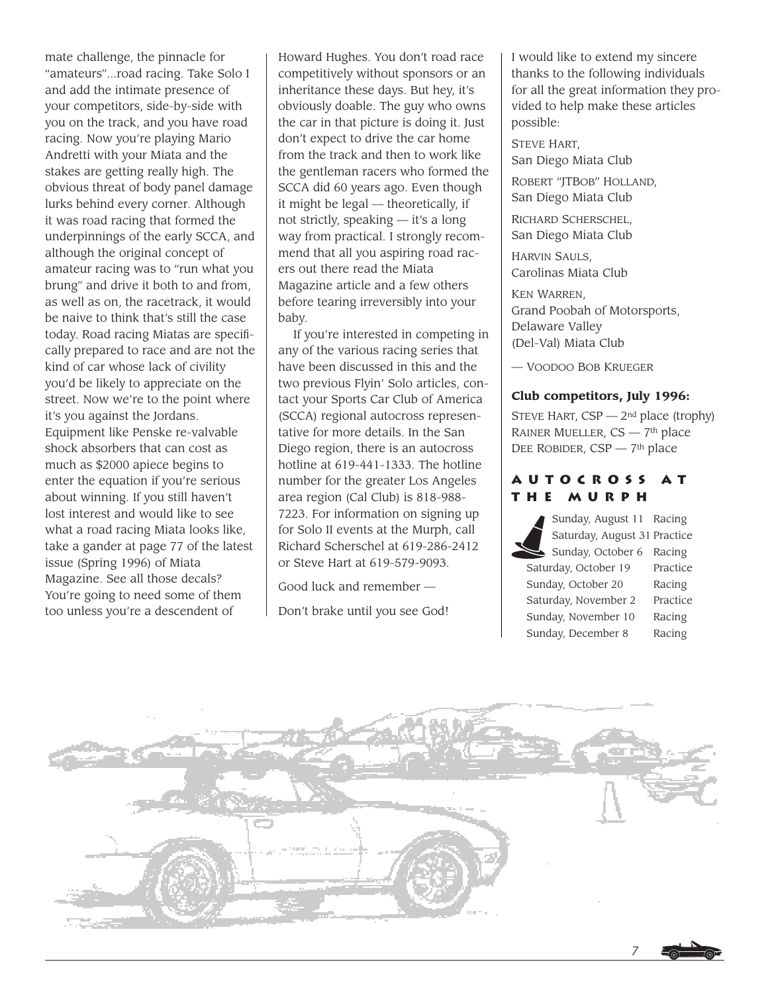mate challenge, the pinnacle for "amateurs"...road racing. Take Solo I and add the intimate presence of your competitors, side-by-side with you on the track, and you have road racing. Now you're playing Mario Andretti with your Miata and the stakes are getting really high. The obvious threat of body panel damage lurks behind every corner. Although it was road racing that formed the underpinnings of the early SCCA, and although the original concept of amateur racing was to "run what you brung" and drive it both to and from, as well as on, the racetrack, it would be naive to think that's still the case today. Road racing Miatas are specifically prepared to race and are not the kind of car whose lack of civility you'd be likely to appreciate on the street. Now we're to the point where it's you against the Jordans. Equipment like Penske re-valvable shock absorbers that can cost as much as \$2000 apiece begins to enter the equation if you're serious about winning. If you still haven't lost interest and would like to see what a road racing Miata looks like, take a gander at page 77 of the latest issue (Spring 1996) of Miata Magazine. See all those decals? You're going to need some of them too unless you're a descendent of

Howard Hughes. You don't road race competitively without sponsors or an inheritance these days. But hey, it's obviously doable. The guy who owns the car in that picture is doing it. Just don't expect to drive the car home from the track and then to work like the gentleman racers who formed the SCCA did 60 years ago. Even though it might be legal — theoretically, if not strictly, speaking — it's a long way from practical. I strongly recommend that all you aspiring road racers out there read the Miata Magazine article and a few others before tearing irreversibly into your baby.

If you're interested in competing in any of the various racing series that have been discussed in this and the two previous Flyin' Solo articles, contact your Sports Car Club of America (SCCA) regional autocross representative for more details. In the San Diego region, there is an autocross hotline at 619-441-1333. The hotline number for the greater Los Angeles area region (Cal Club) is 818-988- 7223. For information on signing up for Solo II events at the Murph, call Richard Scherschel at 619-286-2412 or Steve Hart at 619-579-9093.

Good luck and remember —

Don't brake until you see God!

I would like to extend my sincere thanks to the following individuals for all the great information they provided to help make these articles possible:

STEVE HART, San Diego Miata Club

ROBERT "JTBOB" HOLLAND, San Diego Miata Club

RICHARD SCHERSCHEL, San Diego Miata Club

HARVIN SAULS, Carolinas Miata Club

KEN WARREN, Grand Poobah of Motorsports, Delaware Valley (Del-Val) Miata Club

— VOODOO BOB KRUEGER

### **Club competitors, July 1996:**

STEVE HART,  $CSP - 2<sup>nd</sup>$  place (trophy) RAINER MUELLER, CS — 7th place DEE ROBIDER,  $CSP - 7<sup>th</sup>$  place

### **Autocross at the Murph**

Sunday, August 11 Racing Saturday, August 31 Practice Sunday, October 6 Racing Saturday, October 19 Practice Sunday, October 20 Racing Saturday, November 2 Practice Sunday, November 10 Racing Sunday, December 8 Racing

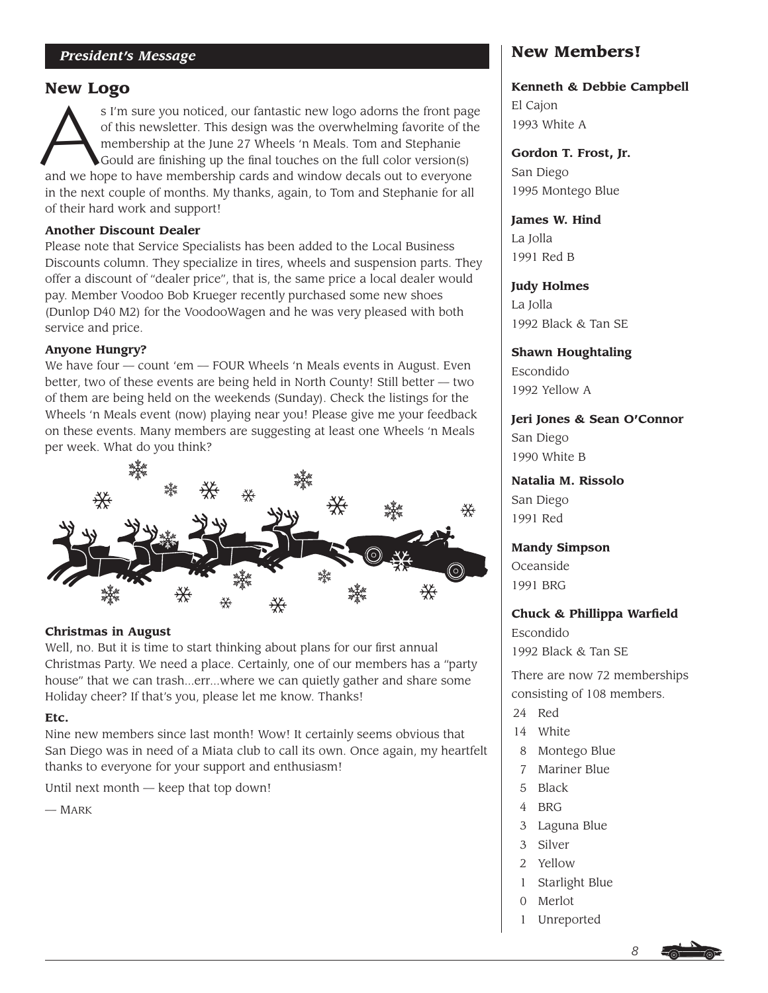## **New Logo**

**As I'm sure you noticed, our fantastic new logo adorns the front page**<br>of this newsletter. This design was the overwhelming favorite of the<br>membership at the June 27 Wheels 'n Meals. Tom and Stephanie<br>Gould are finishing of this newsletter. This design was the overwhelming favorite of the membership at the June 27 Wheels 'n Meals. Tom and Stephanie Gould are finishing up the final touches on the full color version(s) and we hope to have membership cards and window decals out to everyone in the next couple of months. My thanks, again, to Tom and Stephanie for all of their hard work and support!

### **Another Discount Dealer**

Please note that Service Specialists has been added to the Local Business Discounts column. They specialize in tires, wheels and suspension parts. They offer a discount of "dealer price", that is, the same price a local dealer would pay. Member Voodoo Bob Krueger recently purchased some new shoes (Dunlop D40 M2) for the VoodooWagen and he was very pleased with both service and price.

### **Anyone Hungry?**

We have four — count 'em — FOUR Wheels 'n Meals events in August. Even better, two of these events are being held in North County! Still better — two of them are being held on the weekends (Sunday). Check the listings for the Wheels 'n Meals event (now) playing near you! Please give me your feedback on these events. Many members are suggesting at least one Wheels 'n Meals per week. What do you think?



### **Christmas in August**

Well, no. But it is time to start thinking about plans for our first annual Christmas Party. We need a place. Certainly, one of our members has a "party house" that we can trash...err...where we can quietly gather and share some Holiday cheer? If that's you, please let me know. Thanks!

### **Etc.**

Nine new members since last month! Wow! It certainly seems obvious that San Diego was in need of a Miata club to call its own. Once again, my heartfelt thanks to everyone for your support and enthusiasm!

Until next month — keep that top down!

— MARK

# **New Members!**

**Kenneth & Debbie Campbell** El Cajon 1993 White A

**Gordon T. Frost, Jr.** San Diego 1995 Montego Blue

**James W. Hind** La Jolla 1991 Red B

**Judy Holmes** La Jolla 1992 Black & Tan SE

**Shawn Houghtaling** Escondido 1992 Yellow A

**Jeri Jones & Sean O'Connor** San Diego 1990 White B

**Natalia M. Rissolo** San Diego 1991 Red

**Mandy Simpson** Oceanside 1991 BRG

**Chuck & Phillippa Warfield**

Escondido 1992 Black & Tan SE

There are now 72 memberships consisting of 108 members.

- 24 Red
- 14 White
- 8 Montego Blue
- 7 Mariner Blue
- 5 Black
- 4 BRG
- 3 Laguna Blue
- 3 Silver
- 2 Yellow
- 1 Starlight Blue
- 0 Merlot
- **Unreported**



*8*